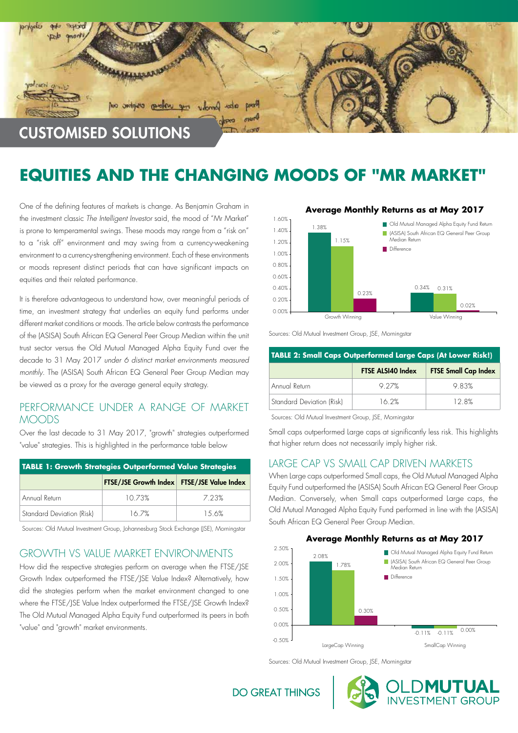

# **EQUITIES AND THE CHANGING MOODS OF "MR MARKET"**

One of the defining features of markets is change. As Benjamin Graham in the investment classic *The Intelligent Investor* said, the mood of "Mr Market" is prone to temperamental swings. These moods may range from a "risk on" to a "risk off" environment and may swing from a currency-weakening environment to a currency-strengthening environment. Each of these environments or moods represent distinct periods that can have significant impacts on equities and their related performance.

It is therefore advantageous to understand how, over meaningful periods of time, an investment strategy that underlies an equity fund performs under different market conditions or moods. The article below contrasts the performance of the (ASISA) South African EQ General Peer Group Median within the unit trust sector versus the Old Mutual Managed Alpha Equity Fund over the decade to 31 May 2017 *under 6 distinct market environments measured monthly*. The (ASISA) South African EQ General Peer Group Median may be viewed as a proxy for the average general equity strategy.

## PERFORMANCE UNDER A RANGE OF MARKET MOODS

Over the last decade to 31 May 2017, "growth" strategies outperformed "value" strategies. This is highlighted in the performance table below

| <b>TABLE 1: Growth Strategies Outperformed Value Strategies</b> |                                                   |        |  |
|-----------------------------------------------------------------|---------------------------------------------------|--------|--|
|                                                                 | <b>FTSE/JSE Growth Index FTSE/JSE Value Index</b> |        |  |
| Annual Return                                                   | 10.73%                                            | 7 23%  |  |
| Standard Deviation (Risk)                                       | 167%                                              | 1.5.6% |  |

Sources: Old Mutual Investment Group, Johannesburg Stock Exchange (JSE), Morningstar

#### GROWTH VS VALUE MARKET ENVIRONMENTS

How did the respective strategies perform on average when the FTSE/JSE Growth Index outperformed the FTSE/JSE Value Index? Alternatively, how did the strategies perform when the market environment changed to one where the FTSE/JSE Value Index outperformed the FTSE/JSE Growth Index? The Old Mutual Managed Alpha Equity Fund outperformed its peers in both "value" and "growth" market environments.



#### **Average Monthly Returns as at May 2017**

Sources: Old Mutual Investment Group, JSE, Morningstar

| <b>TABLE 2: Small Caps Outperformed Large Caps (At Lower Risk!)</b> |                          |                             |  |
|---------------------------------------------------------------------|--------------------------|-----------------------------|--|
|                                                                     | <b>FTSE ALSI40 Index</b> | <b>FTSE Small Cap Index</b> |  |
| Annual Return                                                       | 9 27%                    | 983%                        |  |
| Standard Deviation (Risk)                                           | 16.2%                    | 128%                        |  |

Sources: Old Mutual Investment Group, JSE, Morningstar

Small caps outperformed Large caps at significantly less risk. This highlights that higher return does not necessarily imply higher risk.

#### LARGE CAP VS SMALL CAP DRIVEN MARKETS

When Large caps outperformed Small caps, the Old Mutual Managed Alpha Equity Fund outperformed the (ASISA) South African EQ General Peer Group Median. Conversely, when Small caps outperformed Large caps, the Old Mutual Managed Alpha Equity Fund performed in line with the (ASISA) South African EQ General Peer Group Median.



OLD**MUTUAL**<br>INVESTMENT GROUP

Sources: Old Mutual Investment Group, JSE, Morningstar

**DO GREAT THINGS**